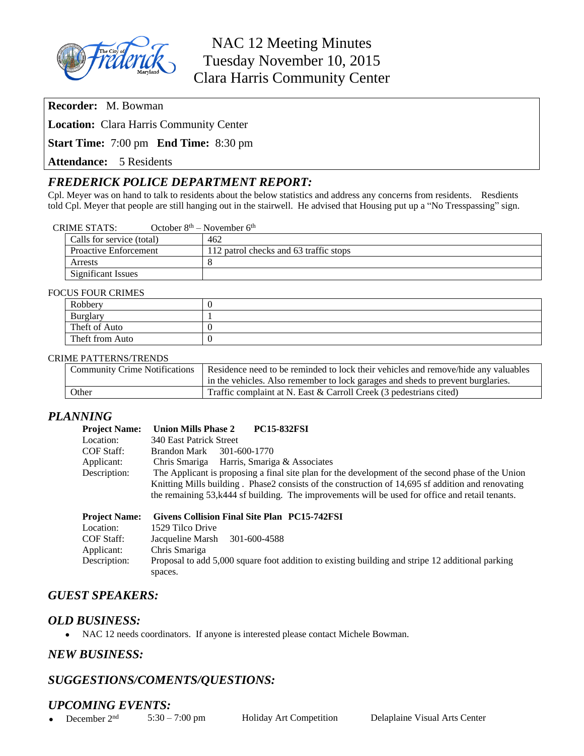

# NAC 12 Meeting Minutes Tuesday November 10, 2015 Clara Harris Community Center

**Recorder:** M. Bowman

**Location:** Clara Harris Community Center

**Start Time:** 7:00 pm **End Time:** 8:30 pm

**Attendance:** 5 Residents

# *FREDERICK POLICE DEPARTMENT REPORT:*

Cpl. Meyer was on hand to talk to residents about the below statistics and address any concerns from residents. Resdients told Cpl. Meyer that people are still hanging out in the stairwell. He advised that Housing put up a "No Tresspassing" sign.

| <b>CRIME STATS:</b> | October $8th$ – November $6th$ |
|---------------------|--------------------------------|
|---------------------|--------------------------------|

| Calls for service (total)    | 462                                    |
|------------------------------|----------------------------------------|
| <b>Proactive Enforcement</b> | 112 patrol checks and 63 traffic stops |
| Arrests                      |                                        |
| <b>Significant Issues</b>    |                                        |

#### FOCUS FOUR CRIMES

| 201000          |  |  |
|-----------------|--|--|
| Robbery         |  |  |
| <b>Burglary</b> |  |  |
| Theft of Auto   |  |  |
| Theft from Auto |  |  |

#### CRIME PATTERNS/TRENDS

| <b>Community Crime Notifications</b> | Residence need to be reminded to lock their vehicles and remove/hide any valuables |
|--------------------------------------|------------------------------------------------------------------------------------|
|                                      | in the vehicles. Also remember to lock garages and sheds to prevent burglaries.    |
| Other                                | Traffic complaint at N. East & Carroll Creek (3 pedestrians cited)                 |

#### *PLANNING*

| <b>PC15-832FSI</b><br><b>Union Mills Phase 2</b>                                                                  |  |  |
|-------------------------------------------------------------------------------------------------------------------|--|--|
| 340 East Patrick Street                                                                                           |  |  |
| 301-600-1770<br>Brandon Mark                                                                                      |  |  |
| Chris Smariga Harris, Smariga & Associates                                                                        |  |  |
| The Applicant is proposing a final site plan for the development of the second phase of the Union<br>Description: |  |  |
| Knitting Mills building. Phase2 consists of the construction of 14,695 sf addition and renovating                 |  |  |
| the remaining 53, k444 sf building. The improvements will be used for office and retail tenants.                  |  |  |
|                                                                                                                   |  |  |
|                                                                                                                   |  |  |

| <b>Project Name:</b> | Givens Collision Final Site Plan PC15-742FSI                                                                |
|----------------------|-------------------------------------------------------------------------------------------------------------|
| Location:            | 1529 Tilco Drive                                                                                            |
| COF Staff:           | Jacqueline Marsh<br>301-600-4588                                                                            |
| Applicant:           | Chris Smariga                                                                                               |
| Description:         | Proposal to add 5,000 square foot addition to existing building and stripe 12 additional parking<br>spaces. |
|                      |                                                                                                             |

# *GUEST SPEAKERS:*

#### *OLD BUSINESS:*

NAC 12 needs coordinators. If anyone is interested please contact Michele Bowman.

### *NEW BUSINESS:*

# *SUGGESTIONS/COMENTS/QUESTIONS:*

### *UPCOMING EVENTS:*

• December  $2<sup>nd</sup>$  5:30 – 7:00 pm Holiday Art Competition Delaplaine Visual Arts Center